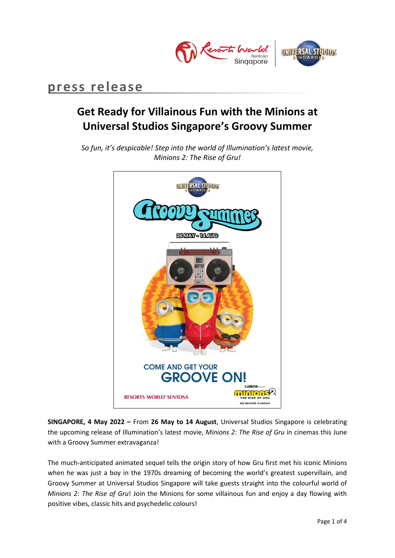

## **press release**

# **Get Ready for Villainous Fun with the Minions at Universal Studios Singapore's Groovy Summer**

*So fun, it's despicable! Step into the world of Illumination's latest movie, Minions 2: The Rise of Gru!* 



**SINGAPORE, 4 May 2022 –** From **26 May to 14 August**, Universal Studios Singapore is celebrating the upcoming release of Illumination's latest movie, *Minions 2: The Rise of Gru* in cinemas this June with a Groovy Summer extravaganza!

The much-anticipated animated sequel tells the origin story of how Gru first met his iconic Minions when he was just a boy in the 1970s dreaming of becoming the world's greatest supervillain, and Groovy Summer at Universal Studios Singapore will take guests straight into the colourful world of *Minions 2: The Rise of Gru*! Join the Minions for some villainous fun and enjoy a day flowing with positive vibes, classic hits and psychedelic colours!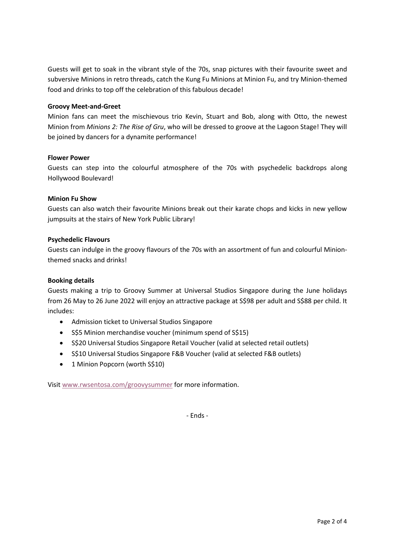Guests will get to soak in the vibrant style of the 70s, snap pictures with their favourite sweet and subversive Minions in retro threads, catch the Kung Fu Minions at Minion Fu, and try Minion-themed food and drinks to top off the celebration of this fabulous decade!

### **Groovy Meet-and-Greet**

Minion fans can meet the mischievous trio Kevin, Stuart and Bob, along with Otto, the newest Minion from *Minions 2: The Rise of Gru*, who will be dressed to groove at the Lagoon Stage! They will be joined by dancers for a dynamite performance!

## **Flower Power**

Guests can step into the colourful atmosphere of the 70s with psychedelic backdrops along Hollywood Boulevard!

## **Minion Fu Show**

Guests can also watch their favourite Minions break out their karate chops and kicks in new yellow jumpsuits at the stairs of New York Public Library!

## **Psychedelic Flavours**

Guests can indulge in the groovy flavours of the 70s with an assortment of fun and colourful Minionthemed snacks and drinks!

### **Booking details**

Guests making a trip to Groovy Summer at Universal Studios Singapore during the June holidays from 26 May to 26 June 2022 will enjoy an attractive package at S\$98 per adult and S\$88 per child. It includes:

- Admission ticket to Universal Studios Singapore
- S\$5 Minion merchandise voucher (minimum spend of S\$15)
- S\$20 Universal Studios Singapore Retail Voucher (valid at selected retail outlets)
- S\$10 Universal Studios Singapore F&B Voucher (valid at selected F&B outlets)
- 1 Minion Popcorn (worth S\$10)

Visit [www.rwsentosa.com/groovysummer](http://www.rwsentosa.com/groovysummer) for more information.

- Ends -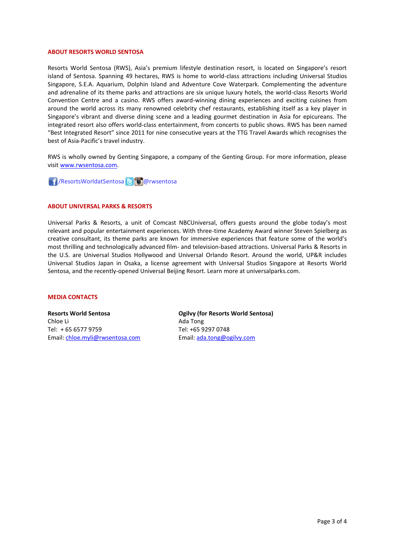#### **ABOUT RESORTS WORLD SENTOSA**

Resorts World Sentosa (RWS), Asia's premium lifestyle destination resort, is located on Singapore's resort island of Sentosa. Spanning 49 hectares, RWS is home to world-class attractions including Universal Studios Singapore, S.E.A. Aquarium, Dolphin Island and Adventure Cove Waterpark. Complementing the adventure and adrenaline of its theme parks and attractions are six unique luxury hotels, the world-class Resorts World Convention Centre and a casino. RWS offers award-winning dining experiences and exciting cuisines from around the world across its many renowned celebrity chef restaurants, establishing itself as a key player in Singapore's vibrant and diverse dining scene and a leading gourmet destination in Asia for epicureans. The integrated resort also offers world-class entertainment, from concerts to public shows. RWS has been named "Best Integrated Resort" since 2011 for nine consecutive years at the TTG Travel Awards which recognises the best of Asia-Pacific's travel industry.

RWS is wholly owned by Genting Singapore, a company of the Genting Group. For more information, please visi[t www.rwsentosa.com.](http://www.rwsentosa.com/)

**1 / ResortsWorldatSentosa Brandwich Marwsentosa** 

#### **ABOUT UNIVERSAL PARKS & RESORTS**

Universal Parks & Resorts, a unit of Comcast NBCUniversal, offers guests around the globe today's most relevant and popular entertainment experiences. With three-time Academy Award winner Steven Spielberg as creative consultant, its theme parks are known for immersive experiences that feature some of the world's most thrilling and technologically advanced film- and television-based attractions. Universal Parks & Resorts in the U.S. are Universal Studios Hollywood and Universal Orlando Resort. Around the world, UP&R includes Universal Studios Japan in Osaka, a license agreement with Universal Studios Singapore at Resorts World Sentosa, and the recently-opened Universal Beijing Resort. Learn more at universalparks.com.

#### **MEDIA CONTACTS**

**Resorts World Sentosa** Chloe Li Tel: + 65 6577 9759 Email: [chloe.myli@rwsentosa.com](mailto:chloe.myli@rwsentosa.com) **Ogilvy (for Resorts World Sentosa)** Ada Tong Tel: +65 9297 0748 Email[: ada.tong@ogilvy.com](mailto:ada.tong@ogilvy.com)